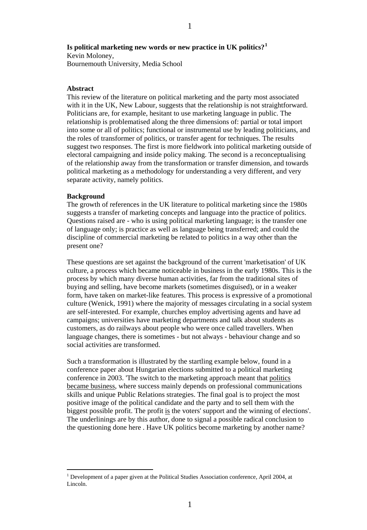# **Is political marketing new words or new practice in UK politics?[1](#page-0-0)**

Kevin Moloney, Bournemouth University, Media School

### **Abstract**

This review of the literature on political marketing and the party most associated with it in the UK, New Labour, suggests that the relationship is not straightforward. Politicians are, for example, hesitant to use marketing language in public. The relationship is problematised along the three dimensions of: partial or total import into some or all of politics; functional or instrumental use by leading politicians, and the roles of transformer of politics, or transfer agent for techniques. The results suggest two responses. The first is more fieldwork into political marketing outside of electoral campaigning and inside policy making. The second is a reconceptualising of the relationship away from the transformation or transfer dimension, and towards political marketing as a methodology for understanding a very different, and very separate activity, namely politics.

### **Background**

l

The growth of references in the UK literature to political marketing since the 1980s suggests a transfer of marketing concepts and language into the practice of politics. Questions raised are - who is using political marketing language; is the transfer one of language only; is practice as well as language being transferred; and could the discipline of commercial marketing be related to politics in a way other than the present one?

These questions are set against the background of the current 'marketisation' of UK culture, a process which became noticeable in business in the early 1980s. This is the process by which many diverse human activities, far from the traditional sites of buying and selling, have become markets (sometimes disguised), or in a weaker form, have taken on market-like features. This process is expressive of a promotional culture (Wenick, 1991) where the majority of messages circulating in a social system are self-interested. For example, churches employ advertising agents and have ad campaigns; universities have marketing departments and talk about students as customers, as do railways about people who were once called travellers. When language changes, there is sometimes - but not always - behaviour change and so social activities are transformed.

Such a transformation is illustrated by the startling example below, found in a conference paper about Hungarian elections submitted to a political marketing conference in 2003. 'The switch to the marketing approach meant that politics became business, where success mainly depends on professional communications skills and unique Public Relations strategies. The final goal is to project the most positive image of the political candidate and the party and to sell them with the biggest possible profit. The profit is the voters' support and the winning of elections'. The underlinings are by this author, done to signal a possible radical conclusion to the questioning done here . Have UK politics become marketing by another name?

<span id="page-0-0"></span><sup>&</sup>lt;sup>1</sup> Development of a paper given at the Political Studies Association conference, April 2004, at Lincoln.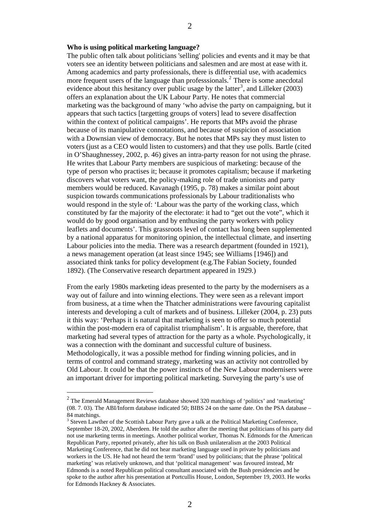### **Who is using political marketing language?**

The public often talk about politicians 'selling' policies and events and it may be that voters see an identity between politicians and salesmen and are most at ease with it. Among academics and party professionals, there is differential use, with academics more frequent users of the language than professsionals.<sup>[2](#page-1-0)</sup> There is some anecdotal evidence about this hesitancy over public usage by the latter<sup>[3](#page-1-1)</sup>, and Lilleker (2003) offers an explanation about the UK Labour Party. He notes that commercial marketing was the background of many 'who advise the party on campaigning, but it appears that such tactics [targetting groups of voters] lead to severe disaffection within the context of political campaigns'. He reports that MPs avoid the phrase because of its manipulative connotations, and because of suspicion of association with a Downsian view of democracy. But he notes that MPs say they must listen to voters (just as a CEO would listen to customers) and that they use polls. Bartle (cited in O'Shaughnessey, 2002, p. 46) gives an intra-party reason for not using the phrase. He writes that Labour Party members are suspicious of marketing: because of the type of person who practises it; because it promotes capitalism; because if marketing discovers what voters want, the policy-making role of trade unionists and party members would be reduced. Kavanagh (1995, p. 78) makes a similar point about suspicion towards communications professionals by Labour traditionalists who would respond in the style of: 'Labour was the party of the working class, which constituted by far the majority of the electorate: it had to "get out the vote", which it would do by good organisation and by enthusing the party workers with policy leaflets and documents'. This grassroots level of contact has long been supplemented by a national apparatus for monitoring opinion, the intellectual climate, and inserting Labour policies into the media. There was a research department (founded in 1921), a news management operation (at least since 1945; see Williams [1946]) and associated think tanks for policy development (e.g.The Fabian Society, founded 1892). (The Conservative research department appeared in 1929.)

From the early 1980s marketing ideas presented to the party by the modernisers as a way out of failure and into winning elections. They were seen as a relevant import from business, at a time when the Thatcher administrations were favouring capitalist interests and developing a cult of markets and of business. Lilleker (2004, p. 23) puts it this way: 'Perhaps it is natural that marketing is seen to offer so much potential within the post-modern era of capitalist triumphalism'. It is arguable, therefore, that marketing had several types of attraction for the party as a whole. Psychologically, it was a connection with the dominant and successful culture of business. Methodologically, it was a possible method for finding winning policies, and in terms of control and command strategy, marketing was an activity not controlled by Old Labour. It could be that the power instincts of the New Labour modernisers were an important driver for importing political marketing. Surveying the party's use of

 $\overline{a}$ 

<span id="page-1-0"></span><sup>&</sup>lt;sup>2</sup> The Emerald Management Reviews database showed 320 matchings of 'politics' and 'marketing' (08. 7. 03). The ABI/Inform database indicated 50; BIBS 24 on the same date. On the PSA database – 84 matchings.

<span id="page-1-1"></span><sup>&</sup>lt;sup>3</sup> Steven Lawther of the Scottish Labour Party gave a talk at the Political Marketing Conference, September 18-20, 2002, Aberdeen. He told the author after the meeting that politicians of his party did not use marketing terms in meetings. Another political worker, Thomas N. Edmonds for the American Republican Party, reported privately, after his talk on Bush unilateralism at the 2003 Political Marketing Conference, that he did not hear marketing language used in private by politicians and workers in the US. He had not heard the term 'brand' used by politicians; that the phrase 'political marketing' was relatively unknown, and that 'political management' was favoured instead, Mr Edmonds is a noted Republican political consultant associated with the Bush presidencies and he spoke to the author after his presentation at Portcullis House, London, September 19, 2003. He works for Edmonds Hackney & Associates.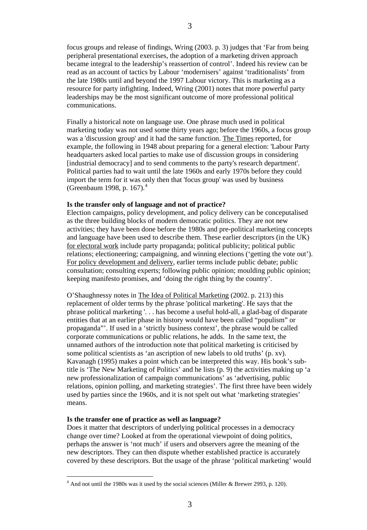focus groups and release of findings, Wring (2003. p. 3) judges that 'Far from being peripheral presentational exercises, the adoption of a marketing driven approach became integral to the leadership's reassertion of control'. Indeed his review can be read as an account of tactics by Labour 'modernisers' against 'traditionalists' from the late 1980s until and beyond the 1997 Labour victory. This is marketing as a resource for party infighting. Indeed, Wring (2001) notes that more powerful party leaderships may be the most significant outcome of more professional political communications.

Finally a historical note on language use. One phrase much used in political marketing today was not used some thirty years ago; before the 1960s, a focus group was a 'discussion group' and it had the same function. The Times reported, for example, the following in 1948 about preparing for a general election: 'Labour Party headquarters asked local parties to make use of discussion groups in considering [industrial democracy] and to send comments to the party's research department'. Political parties had to wait until the late 1960s and early 1970s before they could import the term for it was only then that 'focus group' was used by business (Greenbaum 1998, p. 167). $^{4}$  $^{4}$  $^{4}$ 

# **Is the transfer only of language and not of practice?**

Election campaigns, policy development, and policy delivery can be conceputalised as the three building blocks of modern democratic politics. They are not new activities; they have been done before the 1980s and pre-political marketing concepts and language have been used to describe them. These earlier descriptors (in the UK) for electoral work include party propaganda; political publicity; political public relations; electioneering; campaigning, and winning elections ('getting the vote out'). For policy development and delivery, earlier terms include public debate; public consultation; consulting experts; following public opinion; moulding public opinion; keeping manifesto promises, and 'doing the right thing by the country'.

O'Shaughnessy notes in The Idea of Political Marketing (2002. p. 213) this replacement of older terms by the phrase 'political marketing'. He says that the phrase political marketing '. . . has become a useful hold-all, a glad-bag of disparate entities that at an earlier phase in history would have been called "populism" or propaganda"'. If used in a 'strictly business context', the phrase would be called corporate communications or public relations, he adds. In the same text, the unnamed authors of the introduction note that political marketing is criticised by some political scientists as 'an ascription of new labels to old truths' (p. xv). Kavanagh (1995) makes a point which can be interpreted this way. His book's subtitle is 'The New Marketing of Politics' and he lists (p. 9) the activities making up 'a new professionalization of campaign communications' as 'advertising, public relations, opinion polling, and marketing strategies'. The first three have been widely used by parties since the 1960s, and it is not spelt out what 'marketing strategies' means.

# **Is the transfer one of practice as well as language?**

 $\overline{a}$ 

Does it matter that descriptors of underlying political processes in a democracy change over time? Looked at from the operational viewpoint of doing politics, perhaps the answer is 'not much' if users and observers agree the meaning of the new descriptors. They can then dispute whether established practice is accurately covered by these descriptors. But the usage of the phrase 'political marketing' would

<span id="page-2-0"></span> $4$  And not until the 1980s was it used by the social sciences (Miller & Brewer 2993, p. 120).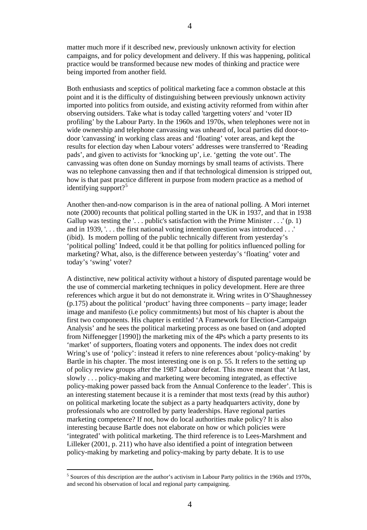matter much more if it described new, previously unknown activity for election campaigns, and for policy development and delivery. If this was happening, political practice would be transformed because new modes of thinking and practice were being imported from another field.

Both enthusiasts and sceptics of political marketing face a common obstacle at this point and it is the difficulty of distinguishing between previously unknown activity imported into politics from outside, and existing activity reformed from within after observing outsiders. Take what is today called 'targetting voters' and 'voter ID profiling' by the Labour Party. In the 1960s and 1970s, when telephones were not in wide ownership and telephone canvassing was unheard of, local parties did door-todoor 'canvassing' in working class areas and 'floating' voter areas, and kept the results for election day when Labour voters' addresses were transferred to 'Reading pads', and given to activists for 'knocking up', i.e. 'getting the vote out'. The canvassing was often done on Sunday mornings by small teams of activists. There was no telephone canvassing then and if that technological dimension is stripped out, how is that past practice different in purpose from modern practice as a method of identifying support?<sup>[5](#page-3-0)</sup>

Another then-and-now comparison is in the area of national polling. A Mori internet note (2000) recounts that political polling started in the UK in 1937, and that in 1938 Gallup was testing the '... public's satisfaction with the Prime Minister ...' (p. 1) and in 1939, '. . . the first national voting intention question was introduced . . .' (ibid). Is modern polling of the public technically different from yesterday's 'political polling' Indeed, could it be that polling for politics influenced polling for marketing? What, also, is the difference between yesterday's 'floating' voter and today's 'swing' voter?

A distinctive, new political activity without a history of disputed parentage would be the use of commercial marketing techniques in policy development. Here are three references which argue it but do not demonstrate it. Wring writes in O'Shaughnessey (p.175) about the political 'product' having three components – party image; leader image and manifesto (i.e policy commitments) but most of his chapter is about the first two components. His chapter is entitled 'A Framework for Election-Campaign Analysis' and he sees the political marketing process as one based on (and adopted from Niffenegger [1990]) the marketing mix of the 4Ps which a party presents to its 'market' of supporters, floating voters and opponents. The index does not credit Wring's use of 'policy': instead it refers to nine references about 'policy-making' by Bartle in his chapter. The most interesting one is on p. 55. It refers to the setting up of policy review groups after the 1987 Labour defeat. This move meant that 'At last, slowly . . . policy-making and marketing were becoming integrated, as effective policy-making power passed back from the Annual Conference to the leader'. This is an interesting statement because it is a reminder that most texts (read by this author) on political marketing locate the subject as a party headquarters activity, done by professionals who are controlled by party leaderships. Have regional parties marketing competence? If not, how do local authorities make policy? It is also interesting because Bartle does not elaborate on how or which policies were 'integrated' with political marketing. The third reference is to Lees-Marshment and Lilleker (2001, p. 211) who have also identified a point of integration between policy-making by marketing and policy-making by party debate. It is to use

l

<span id="page-3-0"></span><sup>&</sup>lt;sup>5</sup> Sources of this description are the author's activism in Labour Party politics in the 1960s and 1970s, and second his observation of local and regional party campaigning.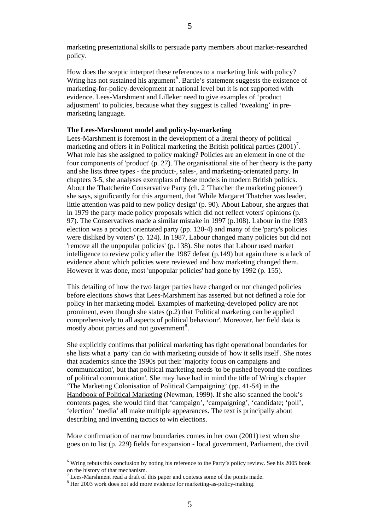marketing presentational skills to persuade party members about market-researched policy.

How does the sceptic interpret these references to a marketing link with policy? Wring has not sustained his argument<sup>[6](#page-4-0)</sup>. Bartle's statement suggests the existence of marketing-for-policy-development at national level but it is not supported with evidence. Lees-Marshment and Lilleker need to give examples of 'product adjustment' to policies, because what they suggest is called 'tweaking' in premarketing language.

# **The Lees-Marshment model and policy-by-marketing**

Lees-Marshment is foremost in the development of a literal theory of political marketing and offers it in Political marketing the British political parties  $(2001)^7$  $(2001)^7$ . What role has she assigned to policy making? Policies are an element in one of the four components of 'product' (p. 27). The organisational site of her theory is the party and she lists three types - the product-, sales-, and marketing-orientated party. In chapters 3-5, she analyses exemplars of these models in modern British politics. About the Thatcherite Conservative Party (ch. 2 'Thatcher the marketing pioneer') she says, significantly for this argument, that 'While Margaret Thatcher was leader, little attention was paid to new policy design' (p. 90). About Labour, she argues that in 1979 the party made policy proposals which did not reflect voters' opinions (p. 97). The Conservatives made a similar mistake in 1997 (p.108). Labour in the 1983 election was a product orientated party (pp. 120-4) and many of the 'party's policies were disliked by voters' (p. 124). In 1987, Labour changed many policies but did not 'remove all the unpopular policies' (p. 138). She notes that Labour used market intelligence to review policy after the 1987 defeat (p.149) but again there is a lack of evidence about which policies were reviewed and how marketing changed them. However it was done, most 'unpopular policies' had gone by 1992 (p. 155).

This detailing of how the two larger parties have changed or not changed policies before elections shows that Lees-Marshment has asserted but not defined a role for policy in her marketing model. Examples of marketing-developed policy are not prominent, even though she states (p.2) that 'Political marketing can be applied comprehensively to all aspects of political behaviour'. Moreover, her field data is mostly about parties and not government<sup>[8](#page-4-2)</sup>.

She explicitly confirms that political marketing has tight operational boundaries for she lists what a 'party' can do with marketing outside of 'how it sells itself'. She notes that academics since the 1990s put their 'majority focus on campaigns and communication', but that political marketing needs 'to be pushed beyond the confines of political communication'. She may have had in mind the title of Wring's chapter 'The Marketing Colonisation of Political Campaigning' (pp. 41-54) in the Handbook of Political Marketing (Newman, 1999). If she also scanned the book's contents pages, she would find that 'campaign', 'campaigning', 'candidate; 'poll', 'election' 'media' all make multiple appearances. The text is principally about describing and inventing tactics to win elections.

More confirmation of narrow boundaries comes in her own (2001) text when she goes on to list (p. 229) fields for expansion - local government, Parliament, the civil

 $\overline{a}$ 

<span id="page-4-0"></span><sup>&</sup>lt;sup>6</sup> Wring rebuts this conclusion by noting his reference to the Party's policy review. See his 2005 book on the history of that mechanism.

<span id="page-4-1"></span> $<sup>7</sup>$  Lees-Marshment read a draft of this paper and contests some of the points made.</sup>

<span id="page-4-2"></span><sup>&</sup>lt;sup>8</sup> Her 2003 work does not add more evidence for marketing-as-policy-making.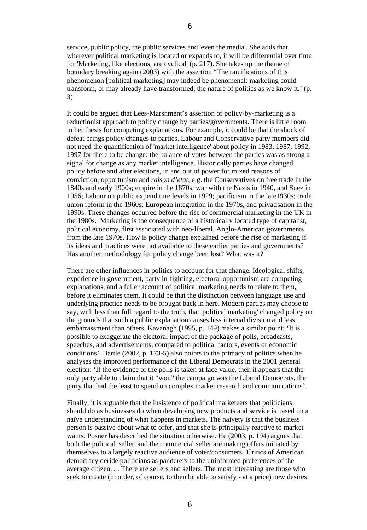service, public policy, the public services and 'even the media'. She adds that wherever political marketing is located or expands to, it will be differential over time for 'Marketing, like elections, are cyclical' (p. 217). She takes up the theme of boundary breaking again (2003) with the assertion "The ramifications of this phenomenon [political marketing] may indeed be phenomenal: marketing could transform, or may already have transformed, the nature of politics as we know it.' (p. 3)

It could be argued that Lees-Marshment's assertion of policy-by-marketing is a reductionist approach to policy change by parties/governments. There is little room in her thesis for competing explanations. For example, it could be that the shock of defeat brings policy changes to parties. Labour and Conservative party members did not need the quantification of 'market intelligence' about policy in 1983, 1987, 1992, 1997 for there to be change: the balance of votes between the parties was as strong a signal for change as any market intelligence. Historically parties have changed policy before and after elections, in and out of power for mixed reasons of conviction, opportunism and *raison d'etat*, e.g. the Conservatives on free trade in the 1840s and early 1900s; empire in the 1870s; war with the Nazis in 1940, and Suez in 1956; Labour on public expenditure levels in 1929; pacificism in the late1930s; trade union reform in the 1960s; European integration in the 1970s, and privatisation in the 1990s. These changes occurred before the rise of commercial marketing in the UK in the 1980s. Marketing is the consequence of a historically located type of capitalist, political economy, first associated with neo-liberal, Anglo-American governments from the late 1970s. How is policy change explained before the rise of marketing if its ideas and practices were not available to these earlier parties and governments? Has another methodology for policy change been lost? What was it?

There are other influences in politics to account for that change. Ideological shifts, experience in government, party in-fighting, electoral opportunism are competing explanations, and a fuller account of political marketing needs to relate to them, before it eliminates them. It could be that the distinction between language use and underlying practice needs to be brought back in here. Modern parties may choose to say, with less than full regard to the truth, that 'political marketing' changed policy on the grounds that such a public explanation causes less internal division and less embarrassment than others. Kavanagh (1995, p. 149) makes a similar point; 'It is possible to exaggerate the electoral impact of the package of polls, broadcasts, speeches, and advertisements, compared to political factors, events or economic conditions'. Bartle (2002, p. 173-5) also points to the primacy of politics when he analyses the improved performance of the Liberal Democrats in the 2001 general election: 'If the evidence of the polls is taken at face value, then it appears that the only party able to claim that it "won" the campaign was the Liberal Democrats, the party that had the least to spend on complex market research and communications'.

Finally, it is arguable that the insistence of political marketeers that politicians should do as businesses do when developing new products and service is based on a naïve understanding of what happens in markets. The naivety is that the business person is passive about what to offer, and that she is principally reactive to market wants. Posner has described the situation otherwise. He (2003, p. 194) argues that both the political 'seller' and the commercial seller are making offers initiated by themselves to a largely reactive audience of voter/consumers. 'Critics of American democracy deride politicians as panderers to the uninformed preferences of the average citizen. . . There are sellers and sellers. The most interesting are those who seek to create (in order, of course, to then be able to satisfy - at a price) new desires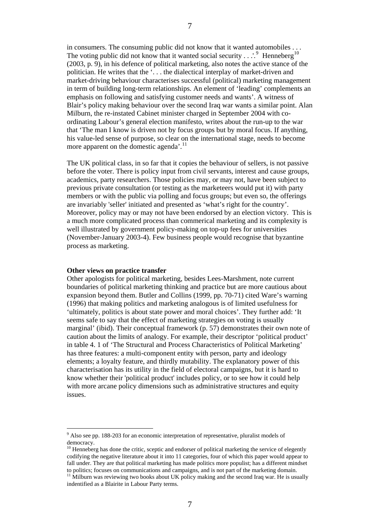in consumers. The consuming public did not know that it wanted automobiles . . . The voting public did not know that it wanted social security . . ..<sup>[9](#page-6-0)</sup> Henneberg<sup>[10](#page-6-1)</sup> (2003, p. 9), in his defence of political marketing, also notes the active stance of the politician. He writes that the '. . . the dialectical interplay of market-driven and market-driving behaviour characterises successful (political) marketing management in term of building long-term relationships. An element of 'leading' complements an emphasis on following and satisfying customer needs and wants'. A witness of Blair's policy making behaviour over the second Iraq war wants a similar point. Alan Milburn, the re-instated Cabinet minister charged in September 2004 with coordinating Labour's general election manifesto, writes about the run-up to the war that 'The man I know is driven not by focus groups but by moral focus. If anything, his value-led sense of purpose, so clear on the international stage, needs to become more apparent on the domestic agenda'.<sup>[11](#page-6-2)</sup>

The UK political class, in so far that it copies the behaviour of sellers, is not passive before the voter. There is policy input from civil servants, interest and cause groups, academics, party researchers. Those policies may, or may not, have been subject to previous private consultation (or testing as the marketeers would put it) with party members or with the public via polling and focus groups; but even so, the offerings are invariably 'seller' initiated and presented as 'what's right for the country'. Moreover, policy may or may not have been endorsed by an election victory. This is a much more complicated process than commerical marketing and its complexity is well illustrated by government policy-making on top-up fees for universities (November-January 2003-4). Few business people would recognise that byzantine process as marketing.

### **Other views on practice transfer**

l

Other apologists for political marketing, besides Lees-Marshment, note current boundaries of political marketing thinking and practice but are more cautious about expansion beyond them. Butler and Collins (1999, pp. 70-71) cited Ware's warning (1996) that making politics and marketing analogous is of limited usefulness for 'ultimately, politics is about state power and moral choices'. They further add: 'It seems safe to say that the effect of marketing strategies on voting is usually marginal' (ibid). Their conceptual framework (p. 57) demonstrates their own note of caution about the limits of analogy. For example, their descriptor 'political product' in table 4. 1 of 'The Structural and Process Characteristics of Political Marketing' has three features: a multi-component entity with person, party and ideology elements; a loyalty feature, and thirdly mutability. The explanatory power of this characterisation has its utility in the field of electoral campaigns, but it is hard to know whether their 'political product' includes policy, or to see how it could help with more arcane policy dimensions such as administrative structures and equity issues.

<span id="page-6-0"></span><sup>&</sup>lt;sup>9</sup> Also see pp. 188-203 for an economic interpretation of representative, pluralist models of democracy.

<span id="page-6-1"></span> $10$  Henneberg has done the critic, sceptic and endorser of political marketing the service of elegently codifying the negative literature about it into 11 categories, four of which this paper would appear to fall under. They are that political marketing has made politics more populist; has a different mindset to politics; focuses on communications and campaigns, and is not part of the marketing domain.

<span id="page-6-2"></span> $11$  Milburn was reviewing two books about UK policy making and the second Iraq war. He is usually indentified as a Blairite in Labour Party terms.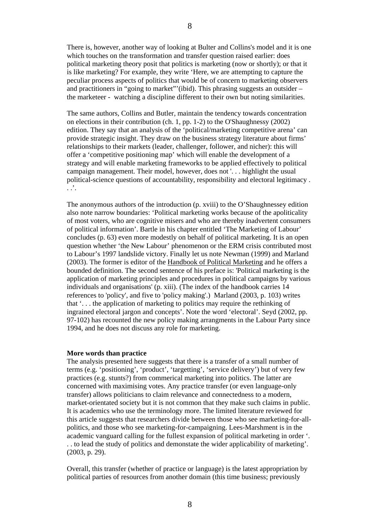There is, however, another way of looking at Bulter and Collins's model and it is one which touches on the transformation and transfer question raised earlier: does political marketing theory posit that politics is marketing (now or shortly); or that it is like marketing? For example, they write 'Here, we are attempting to capture the peculiar process aspects of politics that would be of concern to marketing observers and practitioners in "going to market"'(ibid). This phrasing suggests an outsider – the marketeer - watching a discipline different to their own but noting similarities.

The same authors, Collins and Butler, maintain the tendency towards concentration on elections in their contribution (ch. 1, pp. 1-2) to the O'Shaughnessy (2002) edition. They say that an analysis of the 'political/marketing competitive arena' can provide strategic insight. They draw on the business strategy literature about firms' relationships to their markets (leader, challenger, follower, and nicher): this will offer a 'competitive positioning map' which will enable the development of a strategy and will enable marketing frameworks to be applied effectively to political campaign management. Their model, however, does not '. . . highlight the usual political-science questions of accountability, responsibility and electoral legitimacy . . .'.

The anonymous authors of the introduction (p. xviii) to the O'Shaughnessey edition also note narrow boundaries: 'Political marketing works because of the apoliticality of most voters, who are cognitive misers and who are thereby inadvertent consumers of political information'. Bartle in his chapter entitled 'The Marketing of Labour' concludes (p. 63) even more modestly on behalf of political marketing. It is an open question whether 'the New Labour' phenomenon or the ERM crisis contributed most to Labour's 1997 landslide victory. Finally let us note Newman (1999) and Marland (2003). The former is editor of the Handbook of Political Marketing and he offers a bounded definition. The second sentence of his preface is: 'Political marketing is the application of marketing principles and procedures in political campaigns by various individuals and organisations' (p. xiii). (The index of the handbook carries 14 references to 'policy', and five to 'policy making'.) Marland (2003, p. 103) writes that '. . . the application of marketing to politics may require the rethinking of ingrained electoral jargon and concepts'. Note the word 'electoral'. Seyd (2002, pp. 97-102) has recounted the new policy making arrangments in the Labour Party since 1994, and he does not discuss any role for marketing.

### **More words than practice**

The analysis presented here suggests that there is a transfer of a small number of terms (e.g. 'positioning', 'product', 'targetting', 'service delivery') but of very few practices (e.g. stunts?) from commerical marketing into politics. The latter are concerned with maximising votes. Any practice transfer (or even language-only transfer) allows politicians to claim relevance and connectedness to a modern, market-orientated society but it is not common that they make such claims in public. It is academics who use the terminology more. The limited literature reviewed for this article suggests that researchers divide between those who see marketing-for-allpolitics, and those who see marketing-for-campaigning. Lees-Marshment is in the academic vanguard calling for the fullest expansion of political marketing in order '. . . to lead the study of politics and demonstate the wider applicability of marketing'. (2003, p. 29).

Overall, this transfer (whether of practice or language) is the latest appropriation by political parties of resources from another domain (this time business; previously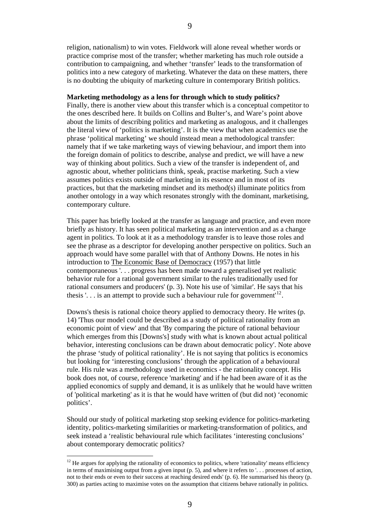religion, nationalism) to win votes. Fieldwork will alone reveal whether words or practice comprise most of the transfer; whether marketing has much role outside a contribution to campaigning, and whether 'transfer' leads to the transformation of politics into a new category of marketing. Whatever the data on these matters, there is no doubting the ubiquity of marketing culture in contemporary British politics.

### **Marketing methodology as a lens for through which to study politics?**

Finally, there is another view about this transfer which is a conceptual competitor to the ones described here. It builds on Collins and Bulter's, and Ware's point above about the limits of describing politics and marketing as analogous, and it challenges the literal view of 'politics is marketing'. It is the view that when academics use the phrase 'political marketing' we should instead mean a methodological transfer: namely that if we take marketing ways of viewing behaviour, and import them into the foreign domain of politics to describe, analyse and predict, we will have a new way of thinking about politics. Such a view of the transfer is independent of, and agnostic about, whether politicians think, speak, practise marketing. Such a view assumes politics exists outside of marketing in its essence and in most of its practices, but that the marketing mindset and its method(s) illuminate politics from another ontology in a way which resonates strongly with the dominant, marketising, contemporary culture.

This paper has briefly looked at the transfer as language and practice, and even more briefly as history. It has seen political marketing as an intervention and as a change agent in politics. To look at it as a methodology transfer is to leave those roles and see the phrase as a descriptor for developing another perspective on politics. Such an approach would have some parallel with that of Anthony Downs. He notes in his introduction to The Economic Base of Democracy (1957) that little contemporaneous '. . . progress has been made toward a generalised yet realistic behavior rule for a rational government similar to the rules traditionally used for rational consumers and producers' (p. 3). Note his use of 'similar'. He says that his thesis '... is an attempt to provide such a behaviour rule for government<sup> $12$ </sup>.

Downs's thesis is rational choice theory applied to democracy theory. He writes (p. 14) 'Thus our model could be described as a study of political rationality from an economic point of view' and that 'By comparing the picture of rational behaviour which emerges from this [Downs's] study with what is known about actual political behavior, interesting conclusions can be drawn about democratic policy'. Note above the phrase 'study of political rationality'. He is not saying that politics is economics but looking for 'interesting conclusions' through the application of a behavioural rule. His rule was a methodology used in economics - the rationality concept. His book does not, of course, reference 'marketing' and if he had been aware of it as the applied economics of supply and demand, it is as unlikely that he would have written of 'political marketing' as it is that he would have written of (but did not) 'economic politics'.

Should our study of political marketing stop seeking evidence for politics-marketing identity, politics-marketing similarities or marketing-transformation of politics, and seek instead a 'realistic behavioural rule which facilitates 'interesting conclusions' about contemporary democratic politics?

 $\overline{a}$ 

<span id="page-8-0"></span> $12$  He argues for applying the rationality of economics to politics, where 'rationality' means efficiency in terms of maximising output from a given input (p. 5), and where it refers to '. . . processes of action, not to their ends or even to their success at reaching desired ends' (p. 6). He summarised his theory (p. 300) as parties acting to maximise votes on the assumption that citizens behave rationally in politics.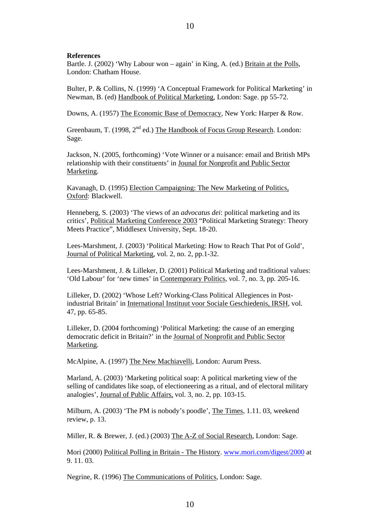### **References**

Bartle. J. (2002) 'Why Labour won – again' in King, A. (ed.) Britain at the Polls, London: Chatham House.

Bulter, P. & Collins, N. (1999) 'A Conceptual Framework for Political Marketing' in Newman, B. (ed) Handbook of Political Marketing, London: Sage. pp 55-72.

Downs, A. (1957) The Economic Base of Democracy, New York: Harper & Row.

Greenbaum, T. (1998,  $2^{nd}$  ed.) The Handbook of Focus Group Research. London: Sage.

Jackson, N. (2005, forthcoming) 'Vote Winner or a nuisance: email and British MPs relationship with their constituents' in Jounal for Nonprofit and Public Sector Marketing.

Kavanagh, D. (1995) Election Campaigning: The New Marketing of Politics, Oxford: Blackwell.

Henneberg, S. (2003) 'The views of an *advocatus dei*: political marketing and its critics', Political Marketing Conference 2003 "Political Marketing Strategy: Theory Meets Practice", Middlesex University, Sept. 18-20.

Lees-Marshment, J. (2003) 'Political Marketing: How to Reach That Pot of Gold', Journal of Political Marketing, vol. 2, no. 2, pp.1-32.

Lees-Marshment, J. & Lilleker, D. (2001) Political Marketing and traditional values: 'Old Labour' for 'new times' in Contemporary Politics, vol. 7, no. 3, pp. 205-16.

Lilleker, D. (2002) 'Whose Left? Working-Class Political Allegiences in Postindustrial Britain' in International Instituut voor Sociale Geschiedenis, IRSH, vol. 47, pp. 65-85.

Lilleker, D. (2004 forthcoming) 'Political Marketing: the cause of an emerging democratic deficit in Britain?' in the Journal of Nonprofit and Public Sector Marketing.

McAlpine, A. (1997) The New Machiavelli, London: Aurum Press.

Marland, A. (2003) 'Marketing political soap: A political marketing view of the selling of candidates like soap, of electioneering as a ritual, and of electoral military analogies', Journal of Public Affairs, vol. 3, no. 2, pp. 103-15.

Milburn, A. (2003) 'The PM is nobody's poodle', The Times, 1.11. 03, weekend review, p. 13.

Miller, R. & Brewer, J. (ed.) (2003) The A-Z of Social Research, London: Sage.

Mori (2000) Political Polling in Britain - The History. [www.mori.com/digest/2000](http://www.mori.com/digest/2000) at 9. 11. 03.

Negrine, R. (1996) The Communications of Politics, London: Sage.